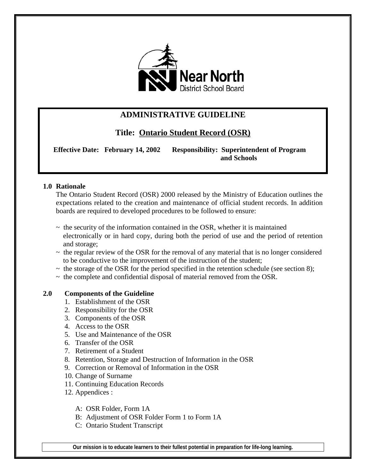

## **ADMINISTRATIVE GUIDELINE**

**Title: Ontario Student Record (OSR)**

 **Effective Date: February 14, 2002 Responsibility: Superintendent of Program and Schools**

## **1.0 Rationale**

The Ontario Student Record (OSR) 2000 released by the Ministry of Education outlines the expectations related to the creation and maintenance of official student records. In addition boards are required to developed procedures to be followed to ensure:

- $\sim$  the security of the information contained in the OSR, whether it is maintained electronically or in hard copy, during both the period of use and the period of retention and storage;
- $\sim$  the regular review of the OSR for the removal of any material that is no longer considered to be conductive to the improvement of the instruction of the student;
- $\sim$  the storage of the OSR for the period specified in the retention schedule (see section 8);
- $\sim$  the complete and confidential disposal of material removed from the OSR.

## **2.0 Components of the Guideline**

- 1. Establishment of the OSR
- 2. Responsibility for the OSR
- 3. Components of the OSR
- 4. Access to the OSR
- 5. Use and Maintenance of the OSR
- 6. Transfer of the OSR
- 7. Retirement of a Student
- 8. Retention, Storage and Destruction of Information in the OSR
- 9. Correction or Removal of Information in the OSR
- 10. Change of Surname
- 11. Continuing Education Records
- 12. Appendices :
	- A: OSR Folder, Form 1A
	- B: Adjustment of OSR Folder Form 1 to Form 1A
	- C: Ontario Student Transcript

**Our mission is to educate learners to their fullest potential in preparation for life-long learning.**